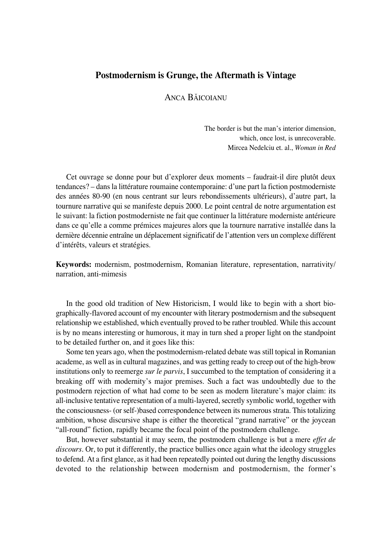## **Postmodernism is Grunge, the Aftermath is Vintage**

ANCA BĂICOIANU

The border is but the man's interior dimension, which, once lost, is unrecoverable. Mircea Nedelciu et. al., *Woman in Red*

Cet ouvrage se donne pour but d'explorer deux moments – faudrait-il dire plutôt deux tendances? – dans la littérature roumaine contemporaine: d'une part la fiction postmoderniste des années 80°90 (en nous centrant sur leurs rebondissements ultérieurs), d'autre part, la tournure narrative qui se manifeste depuis 2000. Le point central de notre argumentation est le suivant: la fiction postmoderniste ne fait que continuer la littérature moderniste antérieure dans ce qu'elle a comme prémices majeures alors que la tournure narrative installée dans la dernière décennie entraîne un déplacement significatif de l'attention vers un complexe différent d'intérêts, valeurs et stratégies.

**Keywords:** modernism, postmodernism, Romanian literature, representation, narrativity/ narration, anti-mimesis

In the good old tradition of New Historicism, I would like to begin with a short biographically°flavored account of my encounter with literary postmodernism and the subsequent relationship we established, which eventually proved to be rather troubled. While this account is by no means interesting or humorous, it may in turn shed a proper light on the standpoint to be detailed further on, and it goes like this:

Some ten years ago, when the postmodernism-related debate was still topical in Romanian academe, as well as in cultural magazines, and was getting ready to creep out of the high-brow institutions only to reemerge *sur le parvis*, I succumbed to the temptation of considering it a breaking off with modernity's major premises. Such a fact was undoubtedly due to the postmodern rejection of what had come to be seen as modern literature's major claim: its all-inclusive tentative representation of a multi-layered, secretly symbolic world, together with the consciousness- (or self-)based correspondence between its numerous strata. This totalizing ambition, whose discursive shape is either the theoretical "grand narrative" or the joycean "all-round" fiction, rapidly became the focal point of the postmodern challenge.

But, however substantial it may seem, the postmodern challenge is but a mere *effet de discours*. Or, to put it differently, the practice bullies once again what the ideology struggles to defend. At a first glance, as it had been repeatedly pointed out during the lengthy discussions devoted to the relationship between modernism and postmodernism, the former's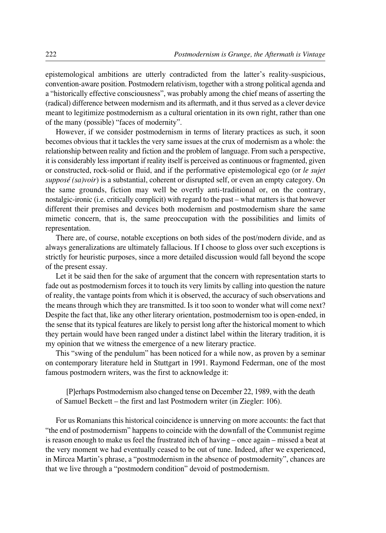epistemological ambitions are utterly contradicted from the latter's reality-suspicious, convention-aware position. Postmodern relativism, together with a strong political agenda and a "historically effective consciousness", was probably among the chief means of asserting the (radical) difference between modernism and its aftermath, and it thus served as a clever device meant to legitimize postmodernism as a cultural orientation in its own right, rather than one of the many (possible) "faces of modernity".

However, if we consider postmodernism in terms of literary practices as such, it soon becomes obvious that it tackles the very same issues at the crux of modernism as a whole: the relationship between reality and fiction and the problem of language. From such a perspective, it is considerably less important if reality itself is perceived as continuous or fragmented, given or constructed, rock°solid or fluid, and if the performative epistemological ego (or *le sujet supposé (sa)voir*) is a substantial, coherent or disrupted self, or even an empty category. On the same grounds, fiction may well be overtly anti-traditional or, on the contrary, nostalgic-ironic (i.e. critically complicit) with regard to the past – what matters is that however different their premises and devices both modernism and postmodernism share the same mimetic concern, that is, the same preoccupation with the possibilities and limits of representation.

There are, of course, notable exceptions on both sides of the post/modern divide, and as always generalizations are ultimately fallacious. If I choose to gloss over such exceptions is strictly for heuristic purposes, since a more detailed discussion would fall beyond the scope of the present essay.

Let it be said then for the sake of argument that the concern with representation starts to fade out as postmodernism forces it to touch its very limits by calling into question the nature of reality, the vantage points from which it is observed, the accuracy of such observations and the means through which they are transmitted. Is it too soon to wonder what will come next? Despite the fact that, like any other literary orientation, postmodernism too is open-ended, in the sense that its typical features are likely to persist long after the historical moment to which they pertain would have been ranged under a distinct label within the literary tradition, it is my opinion that we witness the emergence of a new literary practice.

This "swing of the pendulum" has been noticed for a while now, as proven by a seminar on contemporary literature held in Stuttgart in 1991. Raymond Federman, one of the most famous postmodern writers, was the first to acknowledge it:

[P]erhaps Postmodernism also changed tense on December 22, 1989, with the death of Samuel Beckett – the first and last Postmodern writer (in Ziegler: 106).

For us Romanians this historical coincidence is unnerving on more accounts: the fact that "the end of postmodernism" happens to coincide with the downfall of the Communist regime is reason enough to make us feel the frustrated itch of having – once again – missed a beat at the very moment we had eventually ceased to be out of tune. Indeed, after we experienced, in Mircea Martin's phrase, a "postmodernism in the absence of postmodernity", chances are that we live through a "postmodern condition" devoid of postmodernism.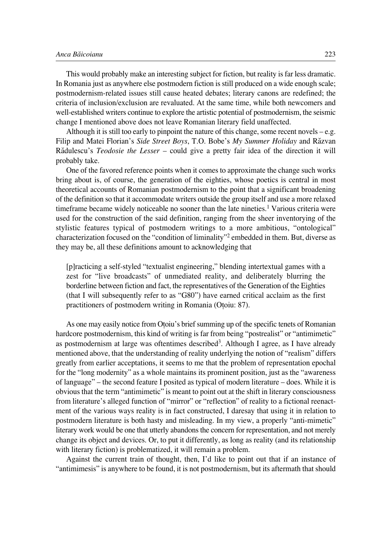This would probably make an interesting subject for fiction, but reality is far less dramatic. In Romania just as anywhere else postmodern fiction is still produced on a wide enough scale; postmodernism°related issues still cause heated debates; literary canons are redefined; the criteria of inclusion/exclusion are revaluated. At the same time, while both newcomers and well-established writers continue to explore the artistic potential of postmodernism, the seismic change I mentioned above does not leave Romanian literary field unaffected.

Although it is still too early to pinpoint the nature of this change, some recent novels – e.g. Filip and Matei Florian's *Side Street Boys*, T.O. Bobe's *My Summer Holiday* and Ræzvan Rædulescu's *Teodosie the Lesser* – could give a pretty fair idea of the direction it will probably take.

One of the favored reference points when it comes to approximate the change such works bring about is, of course, the generation of the eighties, whose poetics is central in most theoretical accounts of Romanian postmodernism to the point that a significant broadening of the definition so that it accommodate writers outside the group itself and use a more relaxed timeframe became widely noticeable no sooner than the late nineties.<sup>1</sup> Various criteria were used for the construction of the said definition, ranging from the sheer inventorying of the stylistic features typical of postmodern writings to a more ambitious, "ontological" characterization focused on the "condition of liminality"2 embedded in them. But, diverse as they may be, all these definitions amount to acknowledging that

[p]racticing a self-styled "textualist engineering," blending intertextual games with a zest for "live broadcasts" of unmediated reality, and deliberately blurring the borderline between fiction and fact, the representatives of the Generation of the Eighties (that I will subsequently refer to as "G80") have earned critical acclaim as the first practitioners of postmodern writing in Romania (Otoiu: 87).

As one may easily notice from Otoiu's brief summing up of the specific tenets of Romanian hardcore postmodernism, this kind of writing is far from being "postrealist" or "antimimetic" as postmodernism at large was oftentimes described<sup>3</sup>. Although I agree, as I have already mentioned above, that the understanding of reality underlying the notion of "realism" differs greatly from earlier acceptations, it seems to me that the problem of representation epochal for the "long modernity" as a whole maintains its prominent position, just as the "awareness of language" – the second feature I posited as typical of modern literature – does. While it is obvious that the term "antimimetic" is meant to point out at the shift in literary consciousness from literature's alleged function of "mirror" or "reflection" of reality to a fictional reenactment of the various ways reality is in fact constructed, I daresay that using it in relation to postmodern literature is both hasty and misleading. In my view, a properly "anti-mimetic" literary work would be one that utterly abandons the concern for representation, and not merely change its object and devices. Or, to put it differently, as long as reality (and its relationship with literary fiction) is problematized, it will remain a problem.

Against the current train of thought, then, I'd like to point out that if an instance of "antimimesis" is anywhere to be found, it is not postmodernism, but its aftermath that should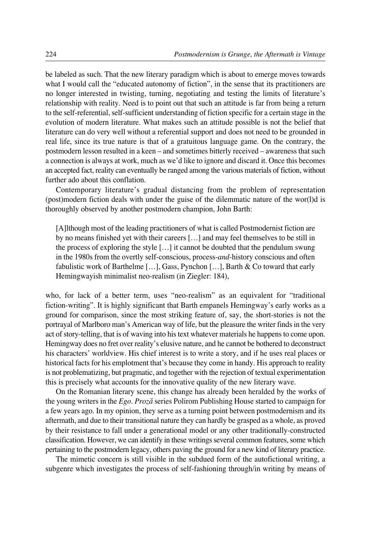be labeled as such. That the new literary paradigm which is about to emerge moves towards what I would call the "educated autonomy of fiction", in the sense that its practitioners are no longer interested in twisting, turning, negotiating and testing the limits of literature's relationship with reality. Need is to point out that such an attitude is far from being a return to the self-referential, self-sufficient understanding of fiction specific for a certain stage in the evolution of modern literature. What makes such an attitude possible is not the belief that literature can do very well without a referential support and does not need to be grounded in real life, since its true nature is that of a gratuitous language game. On the contrary, the postmodern lesson resulted in a keen – and sometimes bitterly received – awareness that such a connection is always at work, much as we'd like to ignore and discard it. Once this becomes an accepted fact, reality can eventually be ranged among the various materials of fiction, without further ado about this conflation.

Contemporary literature's gradual distancing from the problem of representation (post)modern fiction deals with under the guise of the dilemmatic nature of the wor(l)d is thoroughly observed by another postmodern champion, John Barth:

[A]lthough most of the leading practitioners of what is called Postmodernist fiction are by no means finished yet with their careers […] and may feel themselves to be still in the process of exploring the style […] it cannot be doubted that the pendulum swung in the 1980s from the overtly self-conscious, process-*and*-history conscious and often fabulistic work of Barthelme […], Gass, Pynchon […], Barth & Co toward that early Hemingwayish minimalist neo-realism (in Ziegler: 184),

who, for lack of a better term, uses "neo-realism" as an equivalent for "traditional fiction-writing". It is highly significant that Barth empanels Hemingway's early works as a ground for comparison, since the most striking feature of, say, the short-stories is not the portrayal of Marlboro man's American way of life, but the pleasure the writer finds in the very act of story-telling, that is of waving into his text whatever materials he happens to come upon. Hemingway does no fret over reality's elusive nature, and he cannot be bothered to deconstruct his characters' worldview. His chief interest is to write a story, and if he uses real places or historical facts for his emplotment that's because they come in handy. His approach to reality is not problematizing, but pragmatic, and together with the rejection of textual experimentation this is precisely what accounts for the innovative quality of the new literary wave.

On the Romanian literary scene, this change has already been heralded by the works of the young writers in the *Ego. Prozæ* series Polirom Publishing House started to campaign for a few years ago. In my opinion, they serve as a turning point between postmodernism and its aftermath, and due to their transitional nature they can hardly be grasped as a whole, as proved by their resistance to fall under a generational model or any other traditionally-constructed classification. However, we can identify in these writings several common features, some which pertaining to the postmodern legacy, others paving the ground for a new kind of literary practice.

The mimetic concern is still visible in the subdued form of the autofictional writing, a subgenre which investigates the process of self-fashioning through/in writing by means of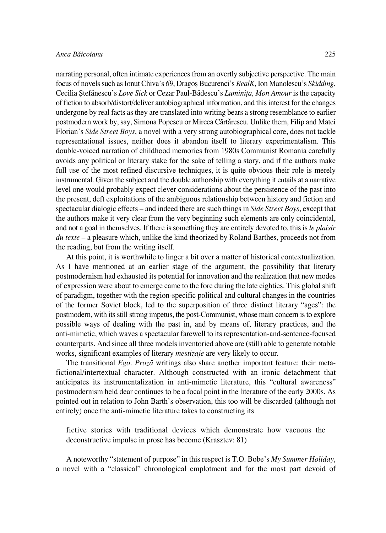narrating personal, often intimate experiences from an overtly subjective perspective. The main focus of novels such as Ionufl Chiva's *69*, Dragoø Bucurenci's *RealK*, Ion Manolescu's *Skidding*, Cecilia Øtefænescu's *Love Sick* or Cezar Paul°Bædescu's *Luminifla, Mon Amour* is the capacity of fiction to absorb/distort/deliver autobiographical information, and this interest for the changes undergone by real facts as they are translated into writing bears a strong resemblance to earlier postmodern work by, say, Simona Popescu or Mircea Cærtærescu. Unlike them, Filip and Matei Florian's *Side Street Boys*, a novel with a very strong autobiographical core, does not tackle representational issues, neither does it abandon itself to literary experimentalism. This double°voiced narration of childhood memories from 1980s Communist Romania carefully avoids any political or literary stake for the sake of telling a story, and if the authors make full use of the most refined discursive techniques, it is quite obvious their role is merely instrumental. Given the subject and the double authorship with everything it entails at a narrative level one would probably expect clever considerations about the persistence of the past into the present, deft exploitations of the ambiguous relationship between history and fiction and spectacular dialogic effects – and indeed there are such things in *Side Street Boys*, except that the authors make it very clear from the very beginning such elements are only coincidental, and not a goal in themselves. If there is something they are entirely devoted to, this is *le plaisir du texte* – a pleasure which, unlike the kind theorized by Roland Barthes, proceeds not from the reading, but from the writing itself.

At this point, it is worthwhile to linger a bit over a matter of historical contextualization. As I have mentioned at an earlier stage of the argument, the possibility that literary postmodernism had exhausted its potential for innovation and the realization that new modes of expression were about to emerge came to the fore during the late eighties. This global shift of paradigm, together with the region-specific political and cultural changes in the countries of the former Soviet block, led to the superposition of three distinct literary "ages": the postmodern, with its still strong impetus, the post-Communist, whose main concern is to explore possible ways of dealing with the past in, and by means of, literary practices, and the anti-mimetic, which waves a spectacular farewell to its representation-and-sentence-focused counterparts. And since all three models inventoried above are (still) able to generate notable works, significant examples of literary *mestizaje* are very likely to occur.

The transitional *Ego. Prozæ* writings also share another important feature: their metafictional/intertextual character. Although constructed with an ironic detachment that anticipates its instrumentalization in anti-mimetic literature, this "cultural awareness" postmodernism held dear continues to be a focal point in the literature of the early 2000s. As pointed out in relation to John Barth's observation, this too will be discarded (although not entirely) once the anti-mimetic literature takes to constructing its

fictive stories with traditional devices which demonstrate how vacuous the deconstructive impulse in prose has become (Krasztev: 81)

A noteworthy "statement of purpose" in this respect is T.O. Bobe's *My Summer Holiday*, a novel with a "classical" chronological emplotment and for the most part devoid of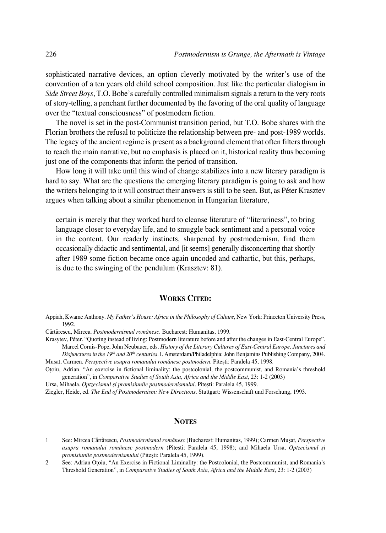sophisticated narrative devices, an option cleverly motivated by the writer's use of the convention of a ten years old child school composition. Just like the particular dialogism in *Side Street Boys*, T.O. Bobe's carefully controlled minimalism signals a return to the very roots of story°telling, a penchant further documented by the favoring of the oral quality of language over the "textual consciousness" of postmodern fiction.

The novel is set in the post-Communist transition period, but T.O. Bobe shares with the Florian brothers the refusal to politicize the relationship between pre- and post-1989 worlds. The legacy of the ancient regime is present as a background element that often filters through to reach the main narrative, but no emphasis is placed on it, historical reality thus becoming just one of the components that inform the period of transition.

How long it will take until this wind of change stabilizes into a new literary paradigm is hard to say. What are the questions the emerging literary paradigm is going to ask and how the writers belonging to it will construct their answers is still to be seen. But, as Péter Krasztev argues when talking about a similar phenomenon in Hungarian literature,

certain is merely that they worked hard to cleanse literature of "literariness", to bring language closer to everyday life, and to smuggle back sentiment and a personal voice in the content. Our readerly instincts, sharpened by postmodernism, find them occasionally didactic and sentimental, and [it seems] generally disconcerting that shortly after 1989 some fiction became once again uncoded and cathartic, but this, perhaps, is due to the swinging of the pendulum (Krasztev: 81).

## **WORKS CITED:**

Appiah, Kwame Anthony. *My Father's House: Africa in the Philosophy of Culture*, New York: Princeton University Press, 1992.

Cærtærescu, Mircea. *Postmodernismul românesc*. Bucharest: Humanitas, 1999.

Krasytev, Péter. "Quoting instead of living: Postmodern literature before and after the changes in East-Central Europe". Marcel Cornis°Pope, John Neubauer, eds. *History of the Literary Cultures of East°Central Europe. Junctures and*

*Disjunctures in the 19th and 20th centuries.* I. Amsterdam/Philadelphia: John Benjamins Publishing Company, 2004. Mușat, Carmen. Perspective asupra romanului românesc postmodern. Pitești: Paralela 45, 1998.

Ofloiu, Adrian. "An exercise in fictional liminality: the postcolonial, the postcommunist, and Romania's threshold generation", in *Comparative Studies of South Asia, Africa and the Middle East*, 23: 1-2 (2003)

Ursa, Mihaela. *Optzecismul și promisiunile postmodernismului*. Pitești: Paralela 45, 1999. Ziegler, Heide, ed. *The End of Postmodernism: New Directions*. Stuttgart: Wissenschaft und Forschung, 1993.

## **NOTES**

- 1 See: Mircea Cærtærescu, *Postmodernismul românesc* (Bucharest: Humanitas, 1999); Carmen Muøat, *Perspective asupra romanului românesc postmodern* (Piteøti: Paralela 45, 1998); and Mihaela Ursa, *Optzecismul øi promisiunile postmodernismului* (Piteøti: Paralela 45, 1999).
- 2 See: Adrian Otoiu, "An Exercise in Fictional Liminality: the Postcolonial, the Postcommunist, and Romania's Threshold Generation", in *Comparative Studies of South Asia, Africa and the Middle East*, 23: 1-2 (2003)